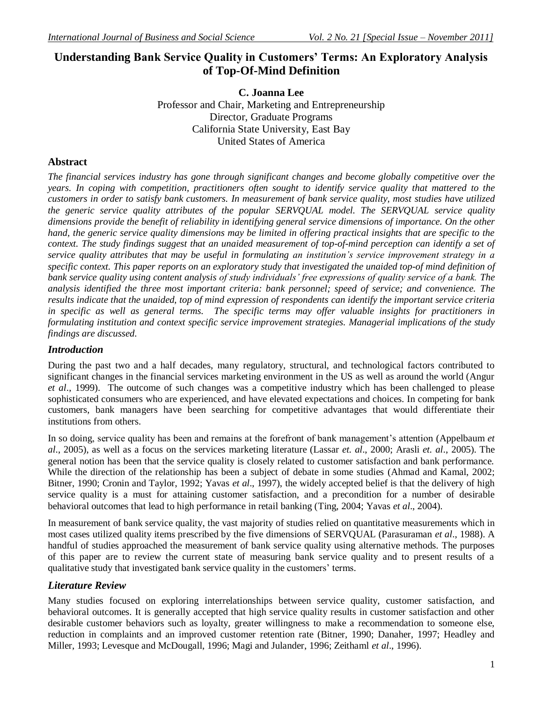# **Understanding Bank Service Quality in Customers' Terms: An Exploratory Analysis of Top-Of-Mind Definition**

**C. Joanna Lee** Professor and Chair, Marketing and Entrepreneurship Director, Graduate Programs California State University, East Bay United States of America

## **Abstract**

*The financial services industry has gone through significant changes and become globally competitive over the years. In coping with competition, practitioners often sought to identify service quality that mattered to the customers in order to satisfy bank customers. In measurement of bank service quality, most studies have utilized the generic service quality attributes of the popular SERVQUAL model. The SERVQUAL service quality dimensions provide the benefit of reliability in identifying general service dimensions of importance. On the other hand, the generic service quality dimensions may be limited in offering practical insights that are specific to the context. The study findings suggest that an unaided measurement of top-of-mind perception can identify a set of service quality attributes that may be useful in formulating an institution's service improvement strategy in a specific context. This paper reports on an exploratory study that investigated the unaided top-of mind definition of bank service quality using content analysis of study individuals' free expressions of quality service of a bank. The analysis identified the three most important criteria: bank personnel; speed of service; and convenience. The results indicate that the unaided, top of mind expression of respondents can identify the important service criteria in specific as well as general terms. The specific terms may offer valuable insights for practitioners in formulating institution and context specific service improvement strategies. Managerial implications of the study findings are discussed.*

### *Introduction*

During the past two and a half decades, many regulatory, structural, and technological factors contributed to significant changes in the financial services marketing environment in the US as well as around the world (Angur *et al*., 1999). The outcome of such changes was a competitive industry which has been challenged to please sophisticated consumers who are experienced, and have elevated expectations and choices. In competing for bank customers, bank managers have been searching for competitive advantages that would differentiate their institutions from others.

In so doing, service quality has been and remains at the forefront of bank management's attention (Appelbaum *et al*., 2005), as well as a focus on the services marketing literature (Lassar *et. al*., 2000; Arasli *et. al*., 2005). The general notion has been that the service quality is closely related to customer satisfaction and bank performance. While the direction of the relationship has been a subject of debate in some studies (Ahmad and Kamal, 2002; Bitner, 1990; Cronin and Taylor, 1992; Yavas *et al*., 1997), the widely accepted belief is that the delivery of high service quality is a must for attaining customer satisfaction, and a precondition for a number of desirable behavioral outcomes that lead to high performance in retail banking (Ting, 2004; Yavas *et al*., 2004).

In measurement of bank service quality, the vast majority of studies relied on quantitative measurements which in most cases utilized quality items prescribed by the five dimensions of SERVQUAL (Parasuraman *et al*., 1988). A handful of studies approached the measurement of bank service quality using alternative methods. The purposes of this paper are to review the current state of measuring bank service quality and to present results of a qualitative study that investigated bank service quality in the customers" terms.

### *Literature Review*

Many studies focused on exploring interrelationships between service quality, customer satisfaction, and behavioral outcomes. It is generally accepted that high service quality results in customer satisfaction and other desirable customer behaviors such as loyalty, greater willingness to make a recommendation to someone else, reduction in complaints and an improved customer retention rate (Bitner, 1990; Danaher, 1997; Headley and Miller, 1993; Levesque and McDougall, 1996; Magi and Julander, 1996; Zeithaml *et al*., 1996).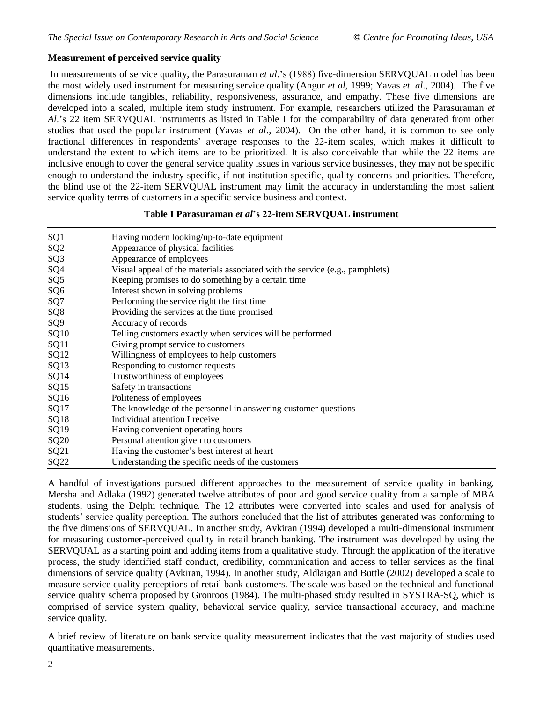#### **Measurement of perceived service quality**

In measurements of service quality, the Parasuraman *et al*."s (1988) five-dimension SERVQUAL model has been the most widely used instrument for measuring service quality (Angur *et al*, 1999; Yavas *et. al*., 2004). The five dimensions include tangibles, reliability, responsiveness, assurance, and empathy. These five dimensions are developed into a scaled, multiple item study instrument. For example, researchers utilized the Parasuraman *et Al*."s 22 item SERVQUAL instruments as listed in Table I for the comparability of data generated from other studies that used the popular instrument (Yavas *et al*., 2004). On the other hand, it is common to see only fractional differences in respondents' average responses to the 22-item scales, which makes it difficult to understand the extent to which items are to be prioritized. It is also conceivable that while the 22 items are inclusive enough to cover the general service quality issues in various service businesses, they may not be specific enough to understand the industry specific, if not institution specific, quality concerns and priorities. Therefore, the blind use of the 22-item SERVQUAL instrument may limit the accuracy in understanding the most salient service quality terms of customers in a specific service business and context.

#### **Table I Parasuraman** *et al***'s 22-item SERVQUAL instrument**

| SQ <sub>1</sub>  | Having modern looking/up-to-date equipment                                   |
|------------------|------------------------------------------------------------------------------|
| SQ <sub>2</sub>  | Appearance of physical facilities                                            |
| SQ <sub>3</sub>  | Appearance of employees                                                      |
| SQ4              | Visual appeal of the materials associated with the service (e.g., pamphlets) |
| SQ <sub>5</sub>  | Keeping promises to do something by a certain time                           |
| SQ <sub>6</sub>  | Interest shown in solving problems                                           |
| SQ7              | Performing the service right the first time                                  |
| SQ <sub>8</sub>  | Providing the services at the time promised                                  |
| SQ <sub>9</sub>  | Accuracy of records                                                          |
| SQ10             | Telling customers exactly when services will be performed                    |
| SQ <sub>11</sub> | Giving prompt service to customers                                           |
| SQ12             | Willingness of employees to help customers                                   |
| SQ13             | Responding to customer requests                                              |
| SQ14             | Trustworthiness of employees                                                 |
| SQ15             | Safety in transactions                                                       |
| SQ <sub>16</sub> | Politeness of employees                                                      |
| SQ17             | The knowledge of the personnel in answering customer questions               |
| SQ18             | Individual attention I receive                                               |
| SQ19             | Having convenient operating hours                                            |
| <b>SQ20</b>      | Personal attention given to customers                                        |
| SQ21             | Having the customer's best interest at heart                                 |
| SQ <sub>22</sub> | Understanding the specific needs of the customers                            |

A handful of investigations pursued different approaches to the measurement of service quality in banking. Mersha and Adlaka (1992) generated twelve attributes of poor and good service quality from a sample of MBA students, using the Delphi technique. The 12 attributes were converted into scales and used for analysis of students' service quality perception. The authors concluded that the list of attributes generated was conforming to the five dimensions of SERVQUAL. In another study, Avkiran (1994) developed a multi-dimensional instrument for measuring customer-perceived quality in retail branch banking. The instrument was developed by using the SERVQUAL as a starting point and adding items from a qualitative study. Through the application of the iterative process, the study identified staff conduct, credibility, communication and access to teller services as the final dimensions of service quality (Avkiran, 1994). In another study, Aldlaigan and Buttle (2002) developed a scale to measure service quality perceptions of retail bank customers. The scale was based on the technical and functional service quality schema proposed by Gronroos (1984). The multi-phased study resulted in SYSTRA-SQ, which is comprised of service system quality, behavioral service quality, service transactional accuracy, and machine service quality.

A brief review of literature on bank service quality measurement indicates that the vast majority of studies used quantitative measurements.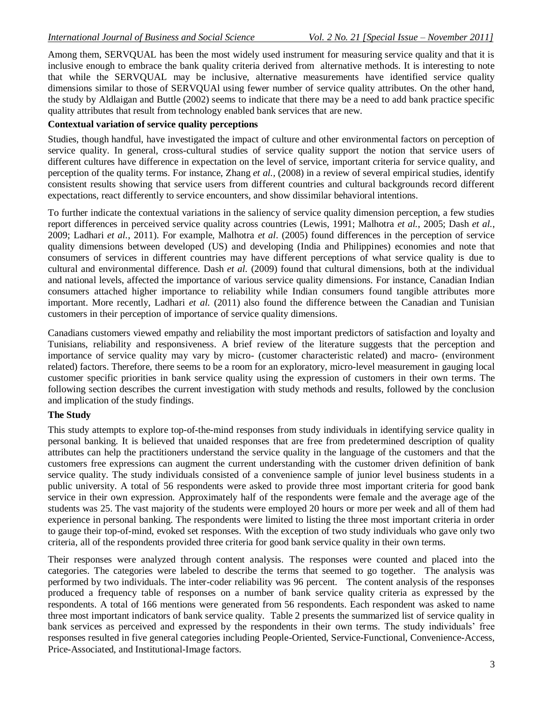Among them, SERVQUAL has been the most widely used instrument for measuring service quality and that it is inclusive enough to embrace the bank quality criteria derived from alternative methods. It is interesting to note that while the SERVQUAL may be inclusive, alternative measurements have identified service quality dimensions similar to those of SERVQUAl using fewer number of service quality attributes. On the other hand, the study by Aldlaigan and Buttle (2002) seems to indicate that there may be a need to add bank practice specific quality attributes that result from technology enabled bank services that are new.

### **Contextual variation of service quality perceptions**

Studies, though handful, have investigated the impact of culture and other environmental factors on perception of service quality. In general, cross-cultural studies of service quality support the notion that service users of different cultures have difference in expectation on the level of service, important criteria for service quality, and perception of the quality terms. For instance, Zhang *et al.,* (2008) in a review of several empirical studies, identify consistent results showing that service users from different countries and cultural backgrounds record different expectations, react differently to service encounters, and show dissimilar behavioral intentions.

To further indicate the contextual variations in the saliency of service quality dimension perception, a few studies report differences in perceived service quality across countries (Lewis, 1991; Malhotra *et al.*, 2005; Dash *et al.*, 2009; Ladhari *et al.*, 2011). For example, Malhotra *et al*. (2005) found differences in the perception of service quality dimensions between developed (US) and developing (India and Philippines) economies and note that consumers of services in different countries may have different perceptions of what service quality is due to cultural and environmental difference. Dash *et al.* (2009) found that cultural dimensions, both at the individual and national levels, affected the importance of various service quality dimensions. For instance, Canadian Indian consumers attached higher importance to reliability while Indian consumers found tangible attributes more important. More recently, Ladhari *et al.* (2011) also found the difference between the Canadian and Tunisian customers in their perception of importance of service quality dimensions.

Canadians customers viewed empathy and reliability the most important predictors of satisfaction and loyalty and Tunisians, reliability and responsiveness. A brief review of the literature suggests that the perception and importance of service quality may vary by micro- (customer characteristic related) and macro- (environment related) factors. Therefore, there seems to be a room for an exploratory, micro-level measurement in gauging local customer specific priorities in bank service quality using the expression of customers in their own terms. The following section describes the current investigation with study methods and results, followed by the conclusion and implication of the study findings.

## **The Study**

This study attempts to explore top-of-the-mind responses from study individuals in identifying service quality in personal banking. It is believed that unaided responses that are free from predetermined description of quality attributes can help the practitioners understand the service quality in the language of the customers and that the customers free expressions can augment the current understanding with the customer driven definition of bank service quality. The study individuals consisted of a convenience sample of junior level business students in a public university. A total of 56 respondents were asked to provide three most important criteria for good bank service in their own expression. Approximately half of the respondents were female and the average age of the students was 25. The vast majority of the students were employed 20 hours or more per week and all of them had experience in personal banking. The respondents were limited to listing the three most important criteria in order to gauge their top-of-mind, evoked set responses. With the exception of two study individuals who gave only two criteria, all of the respondents provided three criteria for good bank service quality in their own terms.

Their responses were analyzed through content analysis. The responses were counted and placed into the categories. The categories were labeled to describe the terms that seemed to go together. The analysis was performed by two individuals. The inter-coder reliability was 96 percent. The content analysis of the responses produced a frequency table of responses on a number of bank service quality criteria as expressed by the respondents. A total of 166 mentions were generated from 56 respondents. Each respondent was asked to name three most important indicators of bank service quality. Table 2 presents the summarized list of service quality in bank services as perceived and expressed by the respondents in their own terms. The study individuals" free responses resulted in five general categories including People-Oriented, Service-Functional, Convenience-Access, Price-Associated, and Institutional-Image factors.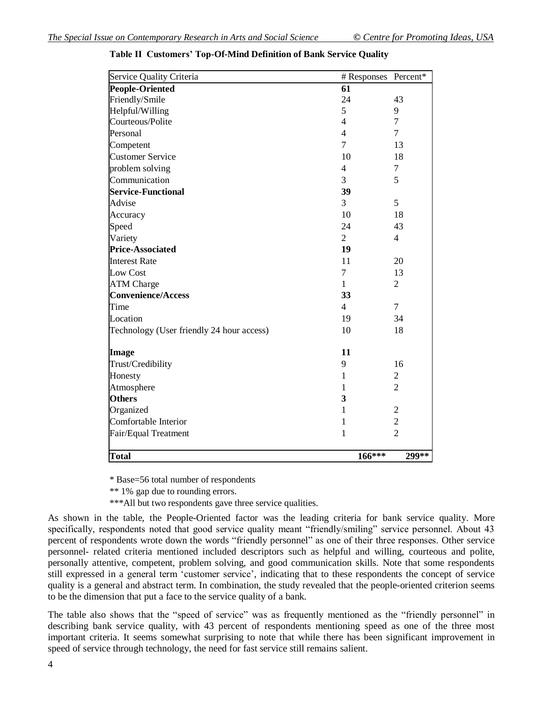| Service Quality Criteria                  | # Responses    | Percent*       |
|-------------------------------------------|----------------|----------------|
| People-Oriented                           | 61             |                |
| Friendly/Smile                            | 24             | 43             |
| Helpful/Willing                           | 5              | 9              |
| Courteous/Polite                          | $\overline{4}$ | $\overline{7}$ |
| Personal                                  | $\overline{4}$ | $\overline{7}$ |
| Competent                                 | 7              | 13             |
| <b>Customer Service</b>                   | 10             | 18             |
| problem solving                           | 4              | 7              |
| Communication                             | 3              | 5              |
| <b>Service-Functional</b>                 | 39             |                |
| Advise                                    | 3              | 5              |
| Accuracy                                  | 10             | 18             |
| Speed                                     | 24             | 43             |
| Variety                                   | $\overline{2}$ | $\overline{4}$ |
| <b>Price-Associated</b>                   | 19             |                |
| <b>Interest Rate</b>                      | 11             | 20             |
| Low Cost                                  | 7              | 13             |
| <b>ATM Charge</b>                         | $\mathbf{1}$   | $\overline{2}$ |
| <b>Convenience/Access</b>                 | 33             |                |
| Time                                      | $\overline{4}$ | $\overline{7}$ |
| Location                                  | 19             | 34             |
| Technology (User friendly 24 hour access) | 10             | 18             |
| <b>Image</b>                              | 11             |                |
| Trust/Credibility                         | 9              | 16             |
| Honesty                                   | $\mathbf{1}$   | $\overline{2}$ |
| Atmosphere                                | 1              | $\overline{2}$ |
| <b>Others</b>                             | 3              |                |
| Organized                                 | 1              | $\overline{2}$ |
| Comfortable Interior                      | $\mathbf 1$    | $\overline{c}$ |
| Fair/Equal Treatment                      | $\mathbf{1}$   | $\overline{2}$ |
| <b>Total</b>                              | $166***$       | 299**          |

**Table II Customers' Top-Of-Mind Definition of Bank Service Quality**

\* Base=56 total number of respondents

\*\* 1% gap due to rounding errors.

\*\*\*All but two respondents gave three service qualities.

As shown in the table, the People-Oriented factor was the leading criteria for bank service quality. More specifically, respondents noted that good service quality meant "friendly/smiling" service personnel. About 43 percent of respondents wrote down the words "friendly personnel" as one of their three responses. Other service personnel- related criteria mentioned included descriptors such as helpful and willing, courteous and polite, personally attentive, competent, problem solving, and good communication skills. Note that some respondents still expressed in a general term "customer service", indicating that to these respondents the concept of service quality is a general and abstract term. In combination, the study revealed that the people-oriented criterion seems to be the dimension that put a face to the service quality of a bank.

The table also shows that the "speed of service" was as frequently mentioned as the "friendly personnel" in describing bank service quality, with 43 percent of respondents mentioning speed as one of the three most important criteria. It seems somewhat surprising to note that while there has been significant improvement in speed of service through technology, the need for fast service still remains salient.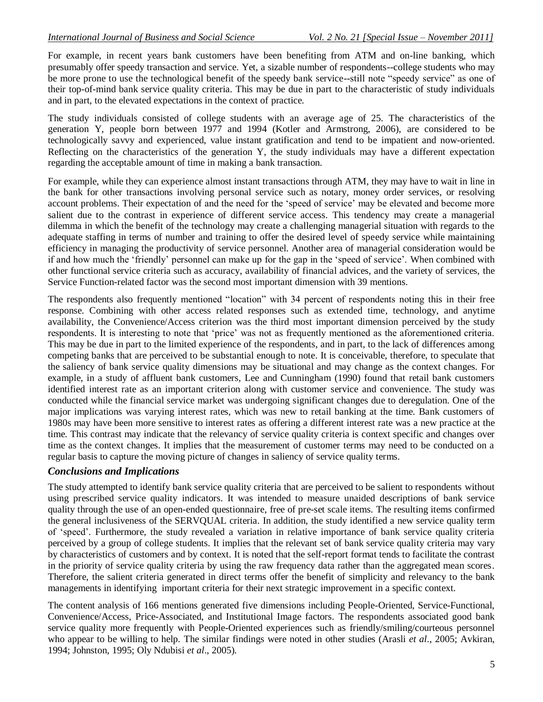For example, in recent years bank customers have been benefiting from ATM and on-line banking, which presumably offer speedy transaction and service. Yet, a sizable number of respondents--college students who may be more prone to use the technological benefit of the speedy bank service--still note "speedy service" as one of their top-of-mind bank service quality criteria. This may be due in part to the characteristic of study individuals and in part, to the elevated expectations in the context of practice.

The study individuals consisted of college students with an average age of 25. The characteristics of the generation Y, people born between 1977 and 1994 (Kotler and Armstrong, 2006), are considered to be technologically savvy and experienced, value instant gratification and tend to be impatient and now-oriented. Reflecting on the characteristics of the generation Y, the study individuals may have a different expectation regarding the acceptable amount of time in making a bank transaction.

For example, while they can experience almost instant transactions through ATM, they may have to wait in line in the bank for other transactions involving personal service such as notary, money order services, or resolving account problems. Their expectation of and the need for the "speed of service" may be elevated and become more salient due to the contrast in experience of different service access. This tendency may create a managerial dilemma in which the benefit of the technology may create a challenging managerial situation with regards to the adequate staffing in terms of number and training to offer the desired level of speedy service while maintaining efficiency in managing the productivity of service personnel. Another area of managerial consideration would be if and how much the "friendly" personnel can make up for the gap in the "speed of service". When combined with other functional service criteria such as accuracy, availability of financial advices, and the variety of services, the Service Function-related factor was the second most important dimension with 39 mentions.

The respondents also frequently mentioned "location" with 34 percent of respondents noting this in their free response. Combining with other access related responses such as extended time, technology, and anytime availability, the Convenience/Access criterion was the third most important dimension perceived by the study respondents. It is interesting to note that "price" was not as frequently mentioned as the aforementioned criteria. This may be due in part to the limited experience of the respondents, and in part, to the lack of differences among competing banks that are perceived to be substantial enough to note. It is conceivable, therefore, to speculate that the saliency of bank service quality dimensions may be situational and may change as the context changes. For example, in a study of affluent bank customers, Lee and Cunningham (1990) found that retail bank customers identified interest rate as an important criterion along with customer service and convenience. The study was conducted while the financial service market was undergoing significant changes due to deregulation. One of the major implications was varying interest rates, which was new to retail banking at the time. Bank customers of 1980s may have been more sensitive to interest rates as offering a different interest rate was a new practice at the time. This contrast may indicate that the relevancy of service quality criteria is context specific and changes over time as the context changes. It implies that the measurement of customer terms may need to be conducted on a regular basis to capture the moving picture of changes in saliency of service quality terms.

#### *Conclusions and Implications*

The study attempted to identify bank service quality criteria that are perceived to be salient to respondents without using prescribed service quality indicators. It was intended to measure unaided descriptions of bank service quality through the use of an open-ended questionnaire, free of pre-set scale items. The resulting items confirmed the general inclusiveness of the SERVQUAL criteria. In addition, the study identified a new service quality term of "speed". Furthermore, the study revealed a variation in relative importance of bank service quality criteria perceived by a group of college students. It implies that the relevant set of bank service quality criteria may vary by characteristics of customers and by context. It is noted that the self-report format tends to facilitate the contrast in the priority of service quality criteria by using the raw frequency data rather than the aggregated mean scores. Therefore, the salient criteria generated in direct terms offer the benefit of simplicity and relevancy to the bank managements in identifying important criteria for their next strategic improvement in a specific context.

The content analysis of 166 mentions generated five dimensions including People-Oriented, Service-Functional, Convenience/Access, Price-Associated, and Institutional Image factors. The respondents associated good bank service quality more frequently with People-Oriented experiences such as friendly/smiling/courteous personnel who appear to be willing to help. The similar findings were noted in other studies (Arasli *et al*., 2005; Avkiran, 1994; Johnston, 1995; Oly Ndubisi *et al*., 2005).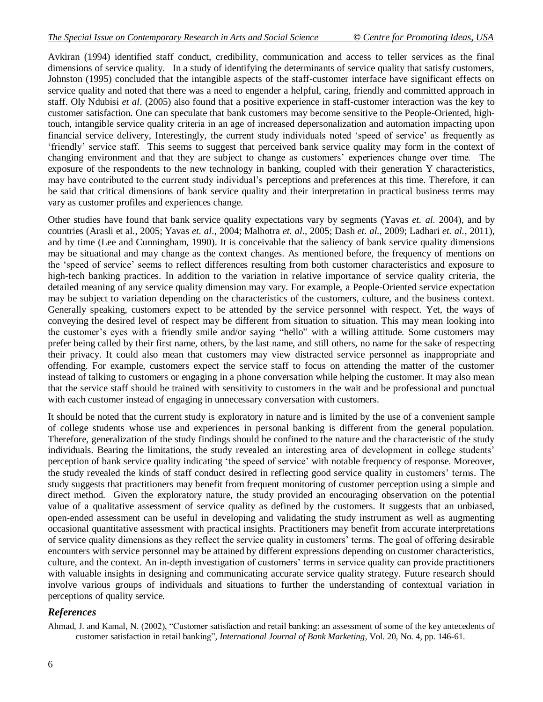Avkiran (1994) identified staff conduct, credibility, communication and access to teller services as the final dimensions of service quality. In a study of identifying the determinants of service quality that satisfy customers, Johnston (1995) concluded that the intangible aspects of the staff-customer interface have significant effects on service quality and noted that there was a need to engender a helpful, caring, friendly and committed approach in staff. Oly Ndubisi *et al*. (2005) also found that a positive experience in staff-customer interaction was the key to customer satisfaction. One can speculate that bank customers may become sensitive to the People-Oriented, hightouch, intangible service quality criteria in an age of increased depersonalization and automation impacting upon financial service delivery, Interestingly, the current study individuals noted "speed of service" as frequently as "friendly" service staff. This seems to suggest that perceived bank service quality may form in the context of changing environment and that they are subject to change as customers" experiences change over time. The exposure of the respondents to the new technology in banking, coupled with their generation Y characteristics, may have contributed to the current study individual"s perceptions and preferences at this time. Therefore, it can be said that critical dimensions of bank service quality and their interpretation in practical business terms may vary as customer profiles and experiences change.

Other studies have found that bank service quality expectations vary by segments (Yavas *et. al*. 2004), and by countries (Arasli et al., 2005; Yavas *et. al*., 2004; Malhotra *et. al.,* 2005; Dash *et. al.,* 2009; Ladhari *et. al.,* 2011), and by time (Lee and Cunningham, 1990). It is conceivable that the saliency of bank service quality dimensions may be situational and may change as the context changes. As mentioned before, the frequency of mentions on the "speed of service" seems to reflect differences resulting from both customer characteristics and exposure to high-tech banking practices. In addition to the variation in relative importance of service quality criteria, the detailed meaning of any service quality dimension may vary. For example, a People-Oriented service expectation may be subject to variation depending on the characteristics of the customers, culture, and the business context. Generally speaking, customers expect to be attended by the service personnel with respect. Yet, the ways of conveying the desired level of respect may be different from situation to situation. This may mean looking into the customer's eyes with a friendly smile and/or saying "hello" with a willing attitude. Some customers may prefer being called by their first name, others, by the last name, and still others, no name for the sake of respecting their privacy. It could also mean that customers may view distracted service personnel as inappropriate and offending. For example, customers expect the service staff to focus on attending the matter of the customer instead of talking to customers or engaging in a phone conversation while helping the customer. It may also mean that the service staff should be trained with sensitivity to customers in the wait and be professional and punctual with each customer instead of engaging in unnecessary conversation with customers.

It should be noted that the current study is exploratory in nature and is limited by the use of a convenient sample of college students whose use and experiences in personal banking is different from the general population. Therefore, generalization of the study findings should be confined to the nature and the characteristic of the study individuals. Bearing the limitations, the study revealed an interesting area of development in college students' perception of bank service quality indicating "the speed of service" with notable frequency of response. Moreover, the study revealed the kinds of staff conduct desired in reflecting good service quality in customers" terms. The study suggests that practitioners may benefit from frequent monitoring of customer perception using a simple and direct method. Given the exploratory nature, the study provided an encouraging observation on the potential value of a qualitative assessment of service quality as defined by the customers. It suggests that an unbiased, open-ended assessment can be useful in developing and validating the study instrument as well as augmenting occasional quantitative assessment with practical insights. Practitioners may benefit from accurate interpretations of service quality dimensions as they reflect the service quality in customers" terms. The goal of offering desirable encounters with service personnel may be attained by different expressions depending on customer characteristics, culture, and the context. An in-depth investigation of customers" terms in service quality can provide practitioners with valuable insights in designing and communicating accurate service quality strategy. Future research should involve various groups of individuals and situations to further the understanding of contextual variation in perceptions of quality service.

#### *References*

Ahmad, J. and Kamal, N. (2002), "Customer satisfaction and retail banking: an assessment of some of the key antecedents of customer satisfaction in retail banking", *International Journal of Bank Marketing*, Vol. 20, No. 4, pp. 146-61.